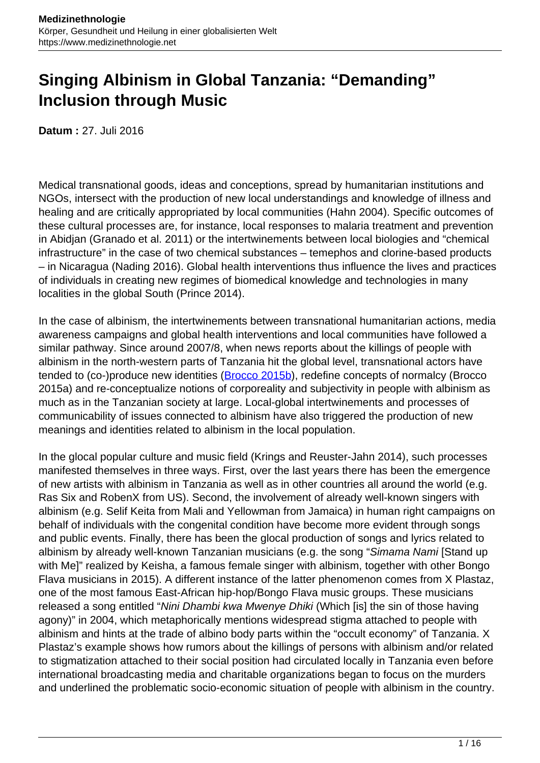# **Singing Albinism in Global Tanzania: "Demanding" Inclusion through Music**

**Datum :** 27. Juli 2016

Medical transnational goods, ideas and conceptions, spread by humanitarian institutions and NGOs, intersect with the production of new local understandings and knowledge of illness and healing and are critically appropriated by local communities (Hahn 2004). Specific outcomes of these cultural processes are, for instance, local responses to malaria treatment and prevention in Abidjan (Granado et al. 2011) or the intertwinements between local biologies and "chemical infrastructure" in the case of two chemical substances – temephos and clorine-based products – in Nicaragua (Nading 2016). Global health interventions thus influence the lives and practices of individuals in creating new regimes of biomedical knowledge and technologies in many localities in the global South (Prince 2014).

In the case of albinism, the intertwinements between transnational humanitarian actions, media awareness campaigns and global health interventions and local communities have followed a similar pathway. Since around 2007/8, when news reports about the killings of people with albinism in the north-western parts of Tanzania hit the global level, transnational actors have tended to (co-)produce new identities [\(Brocco 2015b](http://www.medizinethnologie.net/people-with-albinism-in-tanzania/)), redefine concepts of normalcy (Brocco 2015a) and re-conceptualize notions of corporeality and subjectivity in people with albinism as much as in the Tanzanian society at large. Local-global intertwinements and processes of communicability of issues connected to albinism have also triggered the production of new meanings and identities related to albinism in the local population.

In the glocal popular culture and music field (Krings and Reuster-Jahn 2014), such processes manifested themselves in three ways. First, over the last years there has been the emergence of new artists with albinism in Tanzania as well as in other countries all around the world (e.g. Ras Six and RobenX from US). Second, the involvement of already well-known singers with albinism (e.g. Selif Keita from Mali and Yellowman from Jamaica) in human right campaigns on behalf of individuals with the congenital condition have become more evident through songs and public events. Finally, there has been the glocal production of songs and lyrics related to albinism by already well-known Tanzanian musicians (e.g. the song "Simama Nami [Stand up with Me]" realized by Keisha, a famous female singer with albinism, together with other Bongo Flava musicians in 2015). A different instance of the latter phenomenon comes from X Plastaz, one of the most famous East-African hip-hop/Bongo Flava music groups. These musicians released a song entitled "Nini Dhambi kwa Mwenye Dhiki (Which [is] the sin of those having agony)" in 2004, which metaphorically mentions widespread stigma attached to people with albinism and hints at the trade of albino body parts within the "occult economy" of Tanzania. X Plastaz's example shows how rumors about the killings of persons with albinism and/or related to stigmatization attached to their social position had circulated locally in Tanzania even before international broadcasting media and charitable organizations began to focus on the murders and underlined the problematic socio-economic situation of people with albinism in the country.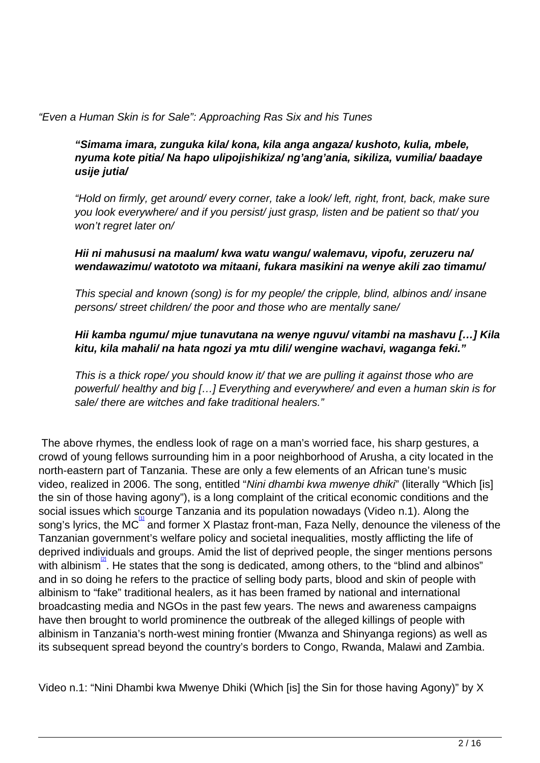"Even a Human Skin is for Sale": Approaching Ras Six and his Tunes

**"Simama imara, zunguka kila/ kona, kila anga angaza/ kushoto, kulia, mbele, nyuma kote pitia/ Na hapo ulipojishikiza/ ng'ang'ania, sikiliza, vumilia/ baadaye usije jutia/** 

"Hold on firmly, get around/ every corner, take a look/ left, right, front, back, make sure you look everywhere/ and if you persist/ just grasp, listen and be patient so that/ you won't regret later on/

#### **Hii ni mahususi na maalum/ kwa watu wangu/ walemavu, vipofu, zeruzeru na/ wendawazimu/ watototo wa mitaani, fukara masikini na wenye akili zao timamu/**

This special and known (song) is for my people/ the cripple, blind, albinos and/ insane persons/ street children/ the poor and those who are mentally sane/

# **Hii kamba ngumu/ mjue tunavutana na wenye nguvu/ vitambi na mashavu […] Kila kitu, kila mahali/ na hata ngozi ya mtu dili/ wengine wachavi, waganga feki."**

This is a thick rope/ you should know it/ that we are pulling it against those who are powerful/ healthy and big […] Everything and everywhere/ and even a human skin is for sale/ there are witches and fake traditional healers."

The above rhymes, the endless look of rage on a man's worried face, his sharp gestures, a crowd of young fellows surrounding him in a poor neighborhood of Arusha, a city located in the north-eastern part of Tanzania. These are only a few elements of an African tune's music video, realized in 2006. The song, entitled "Nini dhambi kwa mwenye dhiki" (literally "Which [is] the sin of those having agony"), is a long complaint of the critical economic conditions and the social issues which scourge Tanzania and its population nowadays (Video n.1). Along the song's lyrics, the MC<sup>III</sup> and former X Plastaz front-man, Faza Nelly, denounce the vileness of the Tanzanian government's welfare policy and societal inequalities, mostly afflicting the life of deprived individuals and groups. Amid the list of deprived people, the singer mentions persons with albinism<sup>[2]</sup>. He states that the song is dedicated, among others, to the "blind and albinos" and in so doing he refers to the practice of selling body parts, blood and skin of people with albinism to "fake" traditional healers, as it has been framed by national and international broadcasting media and NGOs in the past few years. The news and awareness campaigns have then brought to world prominence the outbreak of the alleged killings of people with albinism in Tanzania's north-west mining frontier (Mwanza and Shinyanga regions) as well as its subsequent spread beyond the country's borders to Congo, Rwanda, Malawi and Zambia.

Video n.1: "Nini Dhambi kwa Mwenye Dhiki (Which [is] the Sin for those having Agony)" by X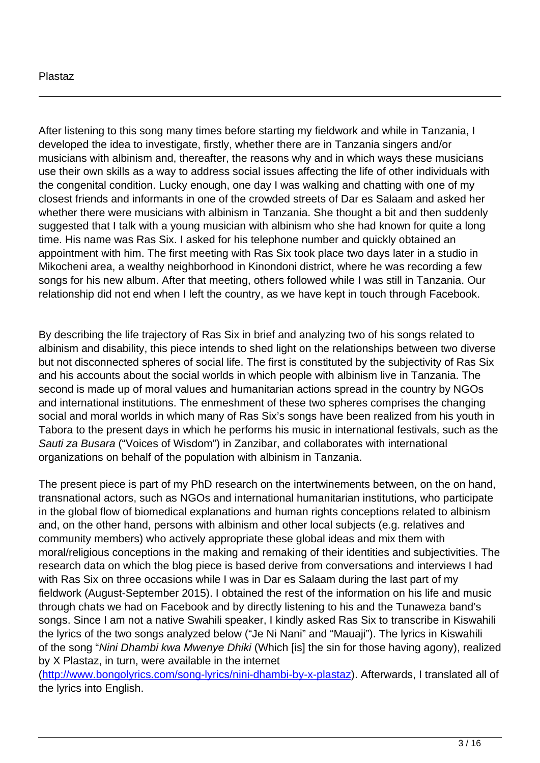#### Plastaz

After listening to this song many times before starting my fieldwork and while in Tanzania, I developed the idea to investigate, firstly, whether there are in Tanzania singers and/or musicians with albinism and, thereafter, the reasons why and in which ways these musicians use their own skills as a way to address social issues affecting the life of other individuals with the congenital condition. Lucky enough, one day I was walking and chatting with one of my closest friends and informants in one of the crowded streets of Dar es Salaam and asked her whether there were musicians with albinism in Tanzania. She thought a bit and then suddenly suggested that I talk with a young musician with albinism who she had known for quite a long time. His name was Ras Six. I asked for his telephone number and quickly obtained an appointment with him. The first meeting with Ras Six took place two days later in a studio in Mikocheni area, a wealthy neighborhood in Kinondoni district, where he was recording a few songs for his new album. After that meeting, others followed while I was still in Tanzania. Our relationship did not end when I left the country, as we have kept in touch through Facebook.

By describing the life trajectory of Ras Six in brief and analyzing two of his songs related to albinism and disability, this piece intends to shed light on the relationships between two diverse but not disconnected spheres of social life. The first is constituted by the subjectivity of Ras Six and his accounts about the social worlds in which people with albinism live in Tanzania. The second is made up of moral values and humanitarian actions spread in the country by NGOs and international institutions. The enmeshment of these two spheres comprises the changing social and moral worlds in which many of Ras Six's songs have been realized from his youth in Tabora to the present days in which he performs his music in international festivals, such as the Sauti za Busara ("Voices of Wisdom") in Zanzibar, and collaborates with international organizations on behalf of the population with albinism in Tanzania.

The present piece is part of my PhD research on the intertwinements between, on the on hand, transnational actors, such as NGOs and international humanitarian institutions, who participate in the global flow of biomedical explanations and human rights conceptions related to albinism and, on the other hand, persons with albinism and other local subjects (e.g. relatives and community members) who actively appropriate these global ideas and mix them with moral/religious conceptions in the making and remaking of their identities and subjectivities. The research data on which the blog piece is based derive from conversations and interviews I had with Ras Six on three occasions while I was in Dar es Salaam during the last part of my fieldwork (August-September 2015). I obtained the rest of the information on his life and music through chats we had on Facebook and by directly listening to his and the Tunaweza band's songs. Since I am not a native Swahili speaker, I kindly asked Ras Six to transcribe in Kiswahili the lyrics of the two songs analyzed below ("Je Ni Nani" and "Mauaji"). The lyrics in Kiswahili of the song "Nini Dhambi kwa Mwenye Dhiki (Which [is] the sin for those having agony), realized by X Plastaz, in turn, were available in the internet

(<http://www.bongolyrics.com/song-lyrics/nini-dhambi-by-x-plastaz>). Afterwards, I translated all of the lyrics into English.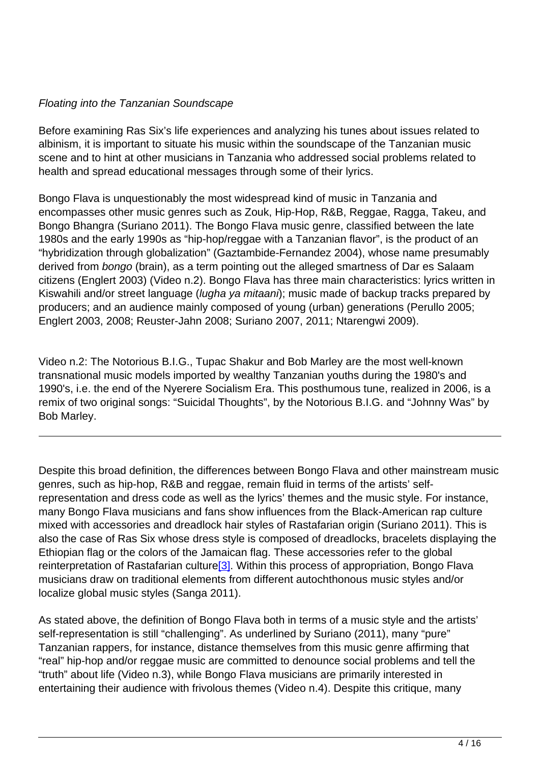## Floating into the Tanzanian Soundscape

Before examining Ras Six's life experiences and analyzing his tunes about issues related to albinism, it is important to situate his music within the soundscape of the Tanzanian music scene and to hint at other musicians in Tanzania who addressed social problems related to health and spread educational messages through some of their lyrics.

Bongo Flava is unquestionably the most widespread kind of music in Tanzania and encompasses other music genres such as Zouk, Hip-Hop, R&B, Reggae, Ragga, Takeu, and Bongo Bhangra (Suriano 2011). The Bongo Flava music genre, classified between the late 1980s and the early 1990s as "hip-hop/reggae with a Tanzanian flavor", is the product of an "hybridization through globalization" (Gaztambide-Fernandez 2004), whose name presumably derived from bongo (brain), as a term pointing out the alleged smartness of Dar es Salaam citizens (Englert 2003) (Video n.2). Bongo Flava has three main characteristics: lyrics written in Kiswahili and/or street language (*lugha ya mitaani*); music made of backup tracks prepared by producers; and an audience mainly composed of young (urban) generations (Perullo 2005; Englert 2003, 2008; Reuster-Jahn 2008; Suriano 2007, 2011; Ntarengwi 2009).

Video n.2: The Notorious B.I.G., Tupac Shakur and Bob Marley are the most well-known transnational music models imported by wealthy Tanzanian youths during the 1980's and 1990's, i.e. the end of the Nyerere Socialism Era. This posthumous tune, realized in 2006, is a remix of two original songs: "Suicidal Thoughts", by the Notorious B.I.G. and "Johnny Was" by Bob Marley.

Despite this broad definition, the differences between Bongo Flava and other mainstream music genres, such as hip-hop, R&B and reggae, remain fluid in terms of the artists' selfrepresentation and dress code as well as the lyrics' themes and the music style. For instance, many Bongo Flava musicians and fans show influences from the Black-American rap culture mixed with accessories and dreadlock hair styles of Rastafarian origin (Suriano 2011). This is also the case of Ras Six whose dress style is composed of dreadlocks, bracelets displaying the Ethiopian flag or the colors of the Jamaican flag. These accessories refer to the global reinterpretation of Rastafarian culture<sup>[3]</sup>. Within this process of appropriation, Bongo Flava musicians draw on traditional elements from different autochthonous music styles and/or localize global music styles (Sanga 2011).

As stated above, the definition of Bongo Flava both in terms of a music style and the artists' self-representation is still "challenging". As underlined by Suriano (2011), many "pure" Tanzanian rappers, for instance, distance themselves from this music genre affirming that "real" hip-hop and/or reggae music are committed to denounce social problems and tell the "truth" about life (Video n.3), while Bongo Flava musicians are primarily interested in entertaining their audience with frivolous themes (Video n.4). Despite this critique, many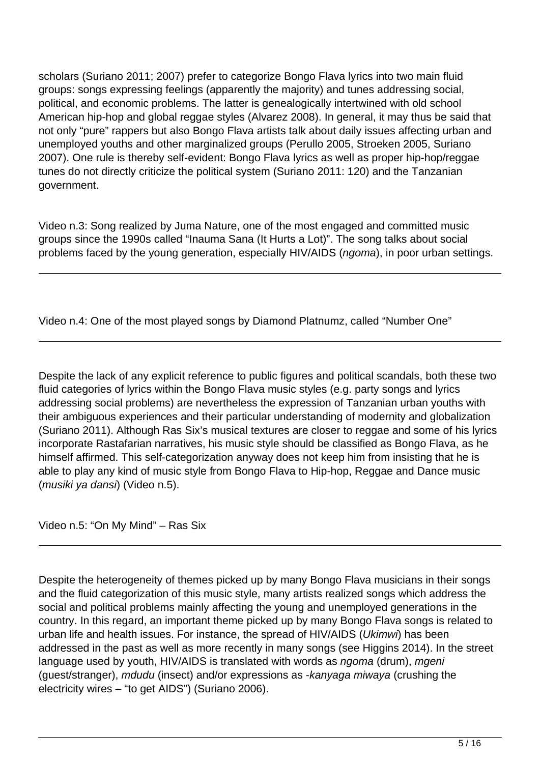scholars (Suriano 2011; 2007) prefer to categorize Bongo Flava lyrics into two main fluid groups: songs expressing feelings (apparently the majority) and tunes addressing social, political, and economic problems. The latter is genealogically intertwined with old school American hip-hop and global reggae styles (Alvarez 2008). In general, it may thus be said that not only "pure" rappers but also Bongo Flava artists talk about daily issues affecting urban and unemployed youths and other marginalized groups (Perullo 2005, Stroeken 2005, Suriano 2007). One rule is thereby self-evident: Bongo Flava lyrics as well as proper hip-hop/reggae tunes do not directly criticize the political system (Suriano 2011: 120) and the Tanzanian government.

Video n.3: Song realized by Juma Nature, one of the most engaged and committed music groups since the 1990s called "Inauma Sana (It Hurts a Lot)". The song talks about social problems faced by the young generation, especially HIV/AIDS (ngoma), in poor urban settings.

Video n.4: One of the most played songs by Diamond Platnumz, called "Number One"

Despite the lack of any explicit reference to public figures and political scandals, both these two fluid categories of lyrics within the Bongo Flava music styles (e.g. party songs and lyrics addressing social problems) are nevertheless the expression of Tanzanian urban youths with their ambiguous experiences and their particular understanding of modernity and globalization (Suriano 2011). Although Ras Six's musical textures are closer to reggae and some of his lyrics incorporate Rastafarian narratives, his music style should be classified as Bongo Flava, as he himself affirmed. This self-categorization anyway does not keep him from insisting that he is able to play any kind of music style from Bongo Flava to Hip-hop, Reggae and Dance music (musiki ya dansi) (Video n.5).

Video n.5: "On My Mind" – Ras Six

Despite the heterogeneity of themes picked up by many Bongo Flava musicians in their songs and the fluid categorization of this music style, many artists realized songs which address the social and political problems mainly affecting the young and unemployed generations in the country. In this regard, an important theme picked up by many Bongo Flava songs is related to urban life and health issues. For instance, the spread of HIV/AIDS (Ukimwi) has been addressed in the past as well as more recently in many songs (see Higgins 2014). In the street language used by youth, HIV/AIDS is translated with words as *ngoma* (drum), *mgeni* (guest/stranger), mdudu (insect) and/or expressions as -kanyaga miwaya (crushing the electricity wires – "to get AIDS") (Suriano 2006).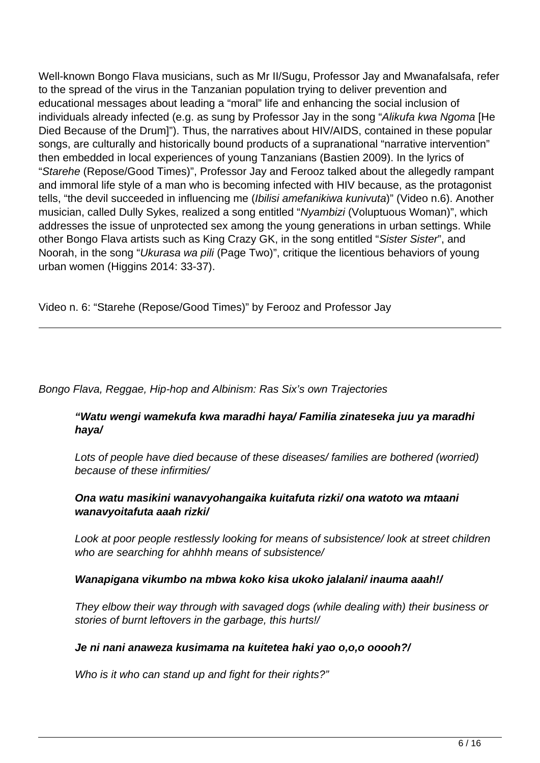Well-known Bongo Flava musicians, such as Mr II/Sugu, Professor Jay and Mwanafalsafa, refer to the spread of the virus in the Tanzanian population trying to deliver prevention and educational messages about leading a "moral" life and enhancing the social inclusion of individuals already infected (e.g. as sung by Professor Jay in the song "Alikufa kwa Ngoma [He Died Because of the Drum]"). Thus, the narratives about HIV/AIDS, contained in these popular songs, are culturally and historically bound products of a supranational "narrative intervention" then embedded in local experiences of young Tanzanians (Bastien 2009). In the lyrics of "Starehe (Repose/Good Times)", Professor Jay and Ferooz talked about the allegedly rampant and immoral life style of a man who is becoming infected with HIV because, as the protagonist tells, "the devil succeeded in influencing me (Ibilisi amefanikiwa kunivuta)" (Video n.6). Another musician, called Dully Sykes, realized a song entitled "Nyambizi (Voluptuous Woman)", which addresses the issue of unprotected sex among the young generations in urban settings. While other Bongo Flava artists such as King Crazy GK, in the song entitled "Sister Sister", and Noorah, in the song "Ukurasa wa pili (Page Two)", critique the licentious behaviors of young urban women (Higgins 2014: 33-37).

Video n. 6: "Starehe (Repose/Good Times)" by Ferooz and Professor Jay

#### Bongo Flava, Reggae, Hip-hop and Albinism: Ras Six's own Trajectories

# **"Watu wengi wamekufa kwa maradhi haya/ Familia zinateseka juu ya maradhi haya/**

Lots of people have died because of these diseases/ families are bothered (worried) because of these infirmities/

#### **Ona watu masikini wanavyohangaika kuitafuta rizki/ ona watoto wa mtaani wanavyoitafuta aaah rizki/**

Look at poor people restlessly looking for means of subsistence/ look at street children who are searching for ahhhh means of subsistence/

#### **Wanapigana vikumbo na mbwa koko kisa ukoko jalalani/ inauma aaah!/**

They elbow their way through with savaged dogs (while dealing with) their business or stories of burnt leftovers in the garbage, this hurts!/

#### **Je ni nani anaweza kusimama na kuitetea haki yao o,o,o ooooh?/**

Who is it who can stand up and fight for their rights?"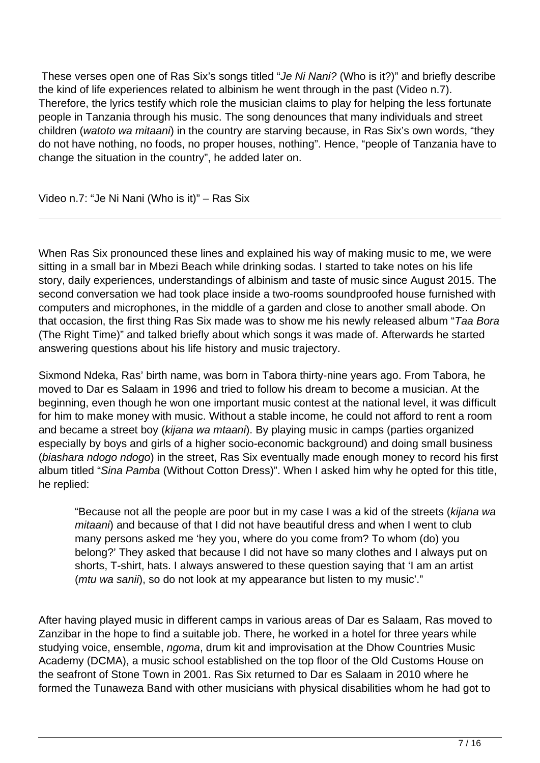These verses open one of Ras Six's songs titled "Je Ni Nani? (Who is it?)" and briefly describe the kind of life experiences related to albinism he went through in the past (Video n.7). Therefore, the lyrics testify which role the musician claims to play for helping the less fortunate people in Tanzania through his music. The song denounces that many individuals and street children (watoto wa mitaani) in the country are starving because, in Ras Six's own words, "they do not have nothing, no foods, no proper houses, nothing". Hence, "people of Tanzania have to change the situation in the country", he added later on.

Video n.7: "Je Ni Nani (Who is it)" – Ras Six

When Ras Six pronounced these lines and explained his way of making music to me, we were sitting in a small bar in Mbezi Beach while drinking sodas. I started to take notes on his life story, daily experiences, understandings of albinism and taste of music since August 2015. The second conversation we had took place inside a two-rooms soundproofed house furnished with computers and microphones, in the middle of a garden and close to another small abode. On that occasion, the first thing Ras Six made was to show me his newly released album "Taa Bora (The Right Time)" and talked briefly about which songs it was made of. Afterwards he started answering questions about his life history and music trajectory.

Sixmond Ndeka, Ras' birth name, was born in Tabora thirty-nine years ago. From Tabora, he moved to Dar es Salaam in 1996 and tried to follow his dream to become a musician. At the beginning, even though he won one important music contest at the national level, it was difficult for him to make money with music. Without a stable income, he could not afford to rent a room and became a street boy (kijana wa mtaani). By playing music in camps (parties organized especially by boys and girls of a higher socio-economic background) and doing small business (biashara ndogo ndogo) in the street, Ras Six eventually made enough money to record his first album titled "Sina Pamba (Without Cotton Dress)". When I asked him why he opted for this title, he replied:

"Because not all the people are poor but in my case I was a kid of the streets (kijana wa mitaani) and because of that I did not have beautiful dress and when I went to club many persons asked me 'hey you, where do you come from? To whom (do) you belong?' They asked that because I did not have so many clothes and I always put on shorts, T-shirt, hats. I always answered to these question saying that 'I am an artist (*mtu wa sanii*), so do not look at my appearance but listen to my music'."

After having played music in different camps in various areas of Dar es Salaam, Ras moved to Zanzibar in the hope to find a suitable job. There, he worked in a hotel for three years while studying voice, ensemble, *ngoma*, drum kit and improvisation at the Dhow Countries Music Academy (DCMA), a music school established on the top floor of the Old Customs House on the seafront of Stone Town in 2001. Ras Six returned to Dar es Salaam in 2010 where he formed the Tunaweza Band with other musicians with physical disabilities whom he had got to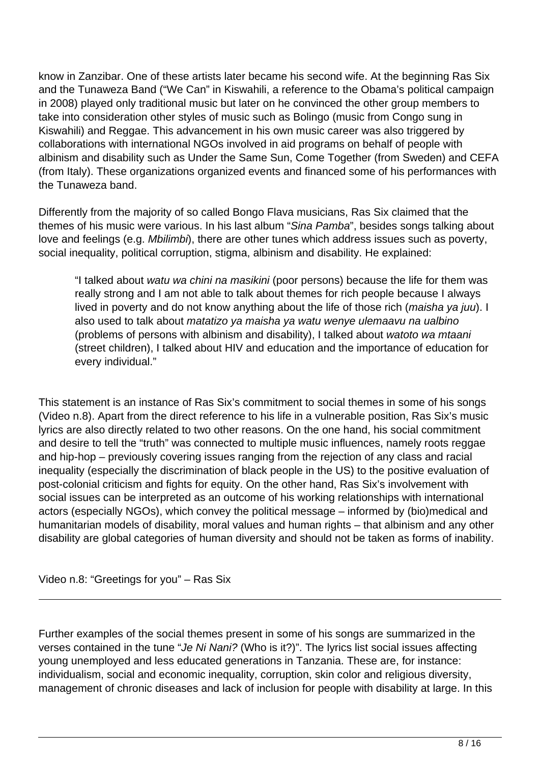know in Zanzibar. One of these artists later became his second wife. At the beginning Ras Six and the Tunaweza Band ("We Can" in Kiswahili, a reference to the Obama's political campaign in 2008) played only traditional music but later on he convinced the other group members to take into consideration other styles of music such as Bolingo (music from Congo sung in Kiswahili) and Reggae. This advancement in his own music career was also triggered by collaborations with international NGOs involved in aid programs on behalf of people with albinism and disability such as Under the Same Sun, Come Together (from Sweden) and CEFA (from Italy). These organizations organized events and financed some of his performances with the Tunaweza band.

Differently from the majority of so called Bongo Flava musicians, Ras Six claimed that the themes of his music were various. In his last album "Sina Pamba", besides songs talking about love and feelings (e.g. Mbilimbi), there are other tunes which address issues such as poverty, social inequality, political corruption, stigma, albinism and disability. He explained:

"I talked about watu wa chini na masikini (poor persons) because the life for them was really strong and I am not able to talk about themes for rich people because I always lived in poverty and do not know anything about the life of those rich (maisha ya juu). I also used to talk about matatizo ya maisha ya watu wenye ulemaavu na ualbino (problems of persons with albinism and disability), I talked about watoto wa mtaani (street children), I talked about HIV and education and the importance of education for every individual."

This statement is an instance of Ras Six's commitment to social themes in some of his songs (Video n.8). Apart from the direct reference to his life in a vulnerable position, Ras Six's music lyrics are also directly related to two other reasons. On the one hand, his social commitment and desire to tell the "truth" was connected to multiple music influences, namely roots reggae and hip-hop – previously covering issues ranging from the rejection of any class and racial inequality (especially the discrimination of black people in the US) to the positive evaluation of post-colonial criticism and fights for equity. On the other hand, Ras Six's involvement with social issues can be interpreted as an outcome of his working relationships with international actors (especially NGOs), which convey the political message – informed by (bio)medical and humanitarian models of disability, moral values and human rights – that albinism and any other disability are global categories of human diversity and should not be taken as forms of inability.

Video n.8: "Greetings for you" – Ras Six

Further examples of the social themes present in some of his songs are summarized in the verses contained in the tune "Je Ni Nani? (Who is it?)". The lyrics list social issues affecting young unemployed and less educated generations in Tanzania. These are, for instance: individualism, social and economic inequality, corruption, skin color and religious diversity, management of chronic diseases and lack of inclusion for people with disability at large. In this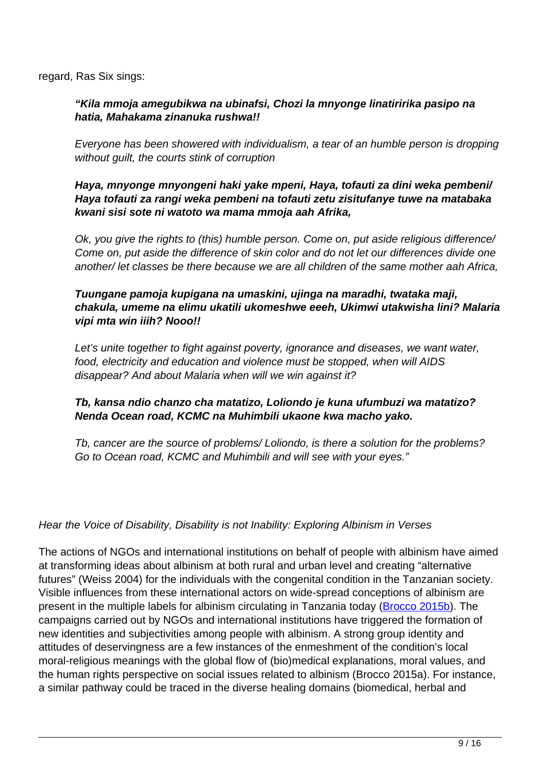regard, Ras Six sings:

#### **"Kila mmoja amegubikwa na ubinafsi, Chozi la mnyonge linatiririka pasipo na hatia, Mahakama zinanuka rushwa!!**

Everyone has been showered with individualism, a tear of an humble person is dropping without guilt, the courts stink of corruption

#### **Haya, mnyonge mnyongeni haki yake mpeni, Haya, tofauti za dini weka pembeni/ Haya tofauti za rangi weka pembeni na tofauti zetu zisitufanye tuwe na matabaka kwani sisi sote ni watoto wa mama mmoja aah Afrika,**

Ok, you give the rights to (this) humble person. Come on, put aside religious difference/ Come on, put aside the difference of skin color and do not let our differences divide one another/ let classes be there because we are all children of the same mother aah Africa,

#### **Tuungane pamoja kupigana na umaskini, ujinga na maradhi, twataka maji, chakula, umeme na elimu ukatili ukomeshwe eeeh, Ukimwi utakwisha lini? Malaria vipi mta win iiih? Nooo!!**

Let's unite together to fight against poverty, ignorance and diseases, we want water, food, electricity and education and violence must be stopped, when will AIDS disappear? And about Malaria when will we win against it?

# **Tb, kansa ndio chanzo cha matatizo, Loliondo je kuna ufumbuzi wa matatizo? Nenda Ocean road, KCMC na Muhimbili ukaone kwa macho yako.**

Tb, cancer are the source of problems/ Loliondo, is there a solution for the problems? Go to Ocean road, KCMC and Muhimbili and will see with your eyes."

#### Hear the Voice of Disability, Disability is not Inability: Exploring Albinism in Verses

The actions of NGOs and international institutions on behalf of people with albinism have aimed at transforming ideas about albinism at both rural and urban level and creating "alternative futures" (Weiss 2004) for the individuals with the congenital condition in the Tanzanian society. Visible influences from these international actors on wide-spread conceptions of albinism are present in the multiple labels for albinism circulating in Tanzania today (**[Brocco 2015b](http://www.medizinethnologie.net/people-with-albinism-in-tanzania/)**). The campaigns carried out by NGOs and international institutions have triggered the formation of new identities and subjectivities among people with albinism. A strong group identity and attitudes of deservingness are a few instances of the enmeshment of the condition's local moral-religious meanings with the global flow of (bio)medical explanations, moral values, and the human rights perspective on social issues related to albinism (Brocco 2015a). For instance, a similar pathway could be traced in the diverse healing domains (biomedical, herbal and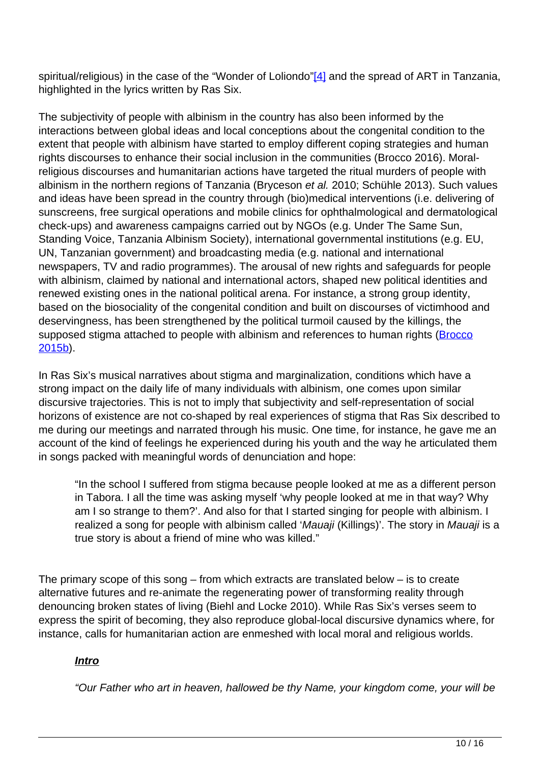spiritual/religious) in the case of the "Wonder of Loliondo"[4] and the spread of ART in Tanzania, highlighted in the lyrics written by Ras Six.

The subjectivity of people with albinism in the country has also been informed by the interactions between global ideas and local conceptions about the congenital condition to the extent that people with albinism have started to employ different coping strategies and human rights discourses to enhance their social inclusion in the communities (Brocco 2016). Moralreligious discourses and humanitarian actions have targeted the ritual murders of people with albinism in the northern regions of Tanzania (Bryceson et al. 2010; Schühle 2013). Such values and ideas have been spread in the country through (bio)medical interventions (i.e. delivering of sunscreens, free surgical operations and mobile clinics for ophthalmological and dermatological check-ups) and awareness campaigns carried out by NGOs (e.g. Under The Same Sun, Standing Voice, Tanzania Albinism Society), international governmental institutions (e.g. EU, UN, Tanzanian government) and broadcasting media (e.g. national and international newspapers, TV and radio programmes). The arousal of new rights and safeguards for people with albinism, claimed by national and international actors, shaped new political identities and renewed existing ones in the national political arena. For instance, a strong group identity, based on the biosociality of the congenital condition and built on discourses of victimhood and deservingness, has been strengthened by the political turmoil caused by the killings, the supposed stigma attached to people with albinism and references to human rights (**Brocco** [2015b\)](http://www.medizinethnologie.net/people-with-albinism-in-tanzania/).

In Ras Six's musical narratives about stigma and marginalization, conditions which have a strong impact on the daily life of many individuals with albinism, one comes upon similar discursive trajectories. This is not to imply that subjectivity and self-representation of social horizons of existence are not co-shaped by real experiences of stigma that Ras Six described to me during our meetings and narrated through his music. One time, for instance, he gave me an account of the kind of feelings he experienced during his youth and the way he articulated them in songs packed with meaningful words of denunciation and hope:

"In the school I suffered from stigma because people looked at me as a different person in Tabora. I all the time was asking myself 'why people looked at me in that way? Why am I so strange to them?'. And also for that I started singing for people with albinism. I realized a song for people with albinism called 'Mauaji (Killings)'. The story in Mauaji is a true story is about a friend of mine who was killed."

The primary scope of this song  $-$  from which extracts are translated below  $-$  is to create alternative futures and re-animate the regenerating power of transforming reality through denouncing broken states of living (Biehl and Locke 2010). While Ras Six's verses seem to express the spirit of becoming, they also reproduce global-local discursive dynamics where, for instance, calls for humanitarian action are enmeshed with local moral and religious worlds.

# **Intro**

"Our Father who art in heaven, hallowed be thy Name, your kingdom come, your will be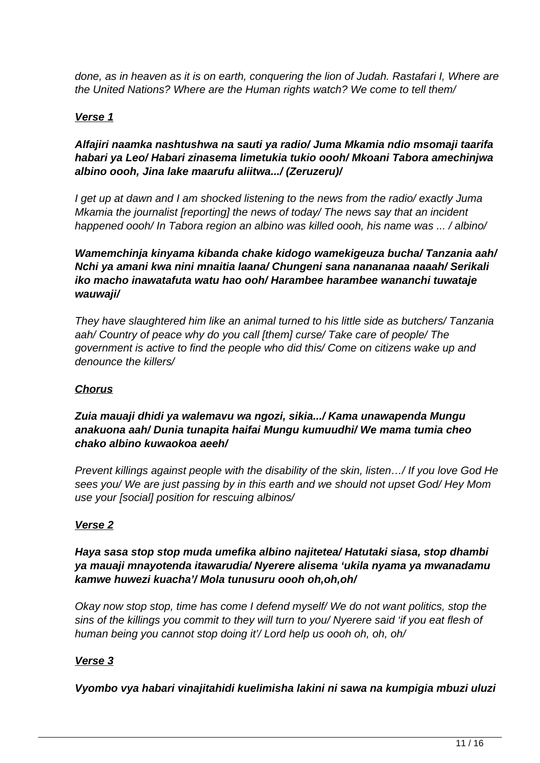done, as in heaven as it is on earth, conquering the lion of Judah. Rastafari I, Where are the United Nations? Where are the Human rights watch? We come to tell them/

# **Verse 1**

## **Alfajiri naamka nashtushwa na sauti ya radio/ Juma Mkamia ndio msomaji taarifa habari ya Leo/ Habari zinasema limetukia tukio oooh/ Mkoani Tabora amechinjwa albino oooh, Jina lake maarufu aliitwa.../ (Zeruzeru)/**

I get up at dawn and I am shocked listening to the news from the radio/ exactly Juma Mkamia the journalist [reporting] the news of today/ The news say that an incident happened oooh/ In Tabora region an albino was killed oooh, his name was ... / albino/

### **Wamemchinja kinyama kibanda chake kidogo wamekigeuza bucha/ Tanzania aah/ Nchi ya amani kwa nini mnaitia laana/ Chungeni sana nanananaa naaah/ Serikali iko macho inawatafuta watu hao ooh/ Harambee harambee wananchi tuwataje wauwaji/**

They have slaughtered him like an animal turned to his little side as butchers/ Tanzania aah/ Country of peace why do you call [them] curse/ Take care of people/ The government is active to find the people who did this/ Come on citizens wake up and denounce the killers/

# **Chorus**

# **Zuia mauaji dhidi ya walemavu wa ngozi, sikia.../ Kama unawapenda Mungu anakuona aah/ Dunia tunapita haifai Mungu kumuudhi/ We mama tumia cheo chako albino kuwaokoa aeeh/**

Prevent killings against people with the disability of the skin, listen…/ If you love God He sees you/ We are just passing by in this earth and we should not upset God/ Hey Mom use your [social] position for rescuing albinos/

# **Verse 2**

# **Haya sasa stop stop muda umefika albino najitetea/ Hatutaki siasa, stop dhambi ya mauaji mnayotenda itawarudia/ Nyerere alisema 'ukila nyama ya mwanadamu kamwe huwezi kuacha'/ Mola tunusuru oooh oh,oh,oh/**

Okay now stop stop, time has come I defend myself/ We do not want politics, stop the sins of the killings you commit to they will turn to you/ Nyerere said 'if you eat flesh of human being you cannot stop doing it'/ Lord help us oooh oh, oh, oh/

# **Verse 3**

**Vyombo vya habari vinajitahidi kuelimisha lakini ni sawa na kumpigia mbuzi uluzi**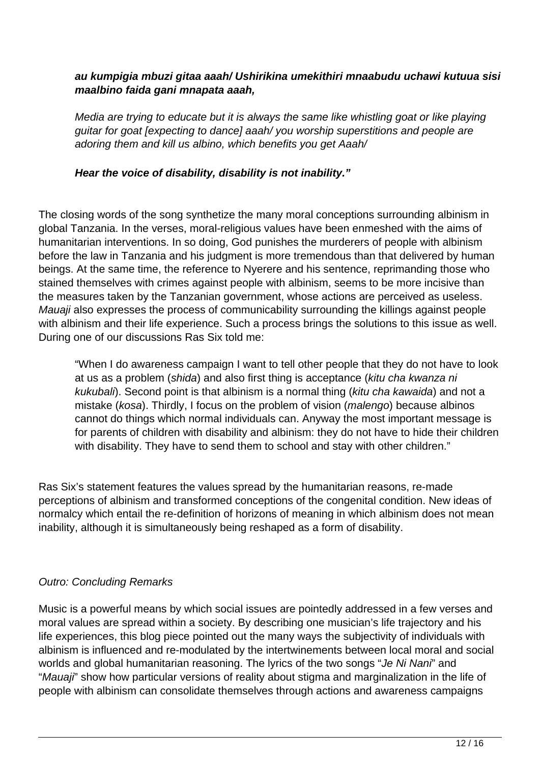#### **au kumpigia mbuzi gitaa aaah/ Ushirikina umekithiri mnaabudu uchawi kutuua sisi maalbino faida gani mnapata aaah,**

Media are trying to educate but it is always the same like whistling goat or like playing guitar for goat [expecting to dance] aaah/ you worship superstitions and people are adoring them and kill us albino, which benefits you get Aaah/

#### **Hear the voice of disability, disability is not inability."**

The closing words of the song synthetize the many moral conceptions surrounding albinism in global Tanzania. In the verses, moral-religious values have been enmeshed with the aims of humanitarian interventions. In so doing, God punishes the murderers of people with albinism before the law in Tanzania and his judgment is more tremendous than that delivered by human beings. At the same time, the reference to Nyerere and his sentence, reprimanding those who stained themselves with crimes against people with albinism, seems to be more incisive than the measures taken by the Tanzanian government, whose actions are perceived as useless. Mauaji also expresses the process of communicability surrounding the killings against people with albinism and their life experience. Such a process brings the solutions to this issue as well. During one of our discussions Ras Six told me:

"When I do awareness campaign I want to tell other people that they do not have to look at us as a problem (shida) and also first thing is acceptance (kitu cha kwanza ni kukubali). Second point is that albinism is a normal thing (kitu cha kawaida) and not a mistake (kosa). Thirdly, I focus on the problem of vision (malengo) because albinos cannot do things which normal individuals can. Anyway the most important message is for parents of children with disability and albinism: they do not have to hide their children with disability. They have to send them to school and stay with other children."

Ras Six's statement features the values spread by the humanitarian reasons, re-made perceptions of albinism and transformed conceptions of the congenital condition. New ideas of normalcy which entail the re-definition of horizons of meaning in which albinism does not mean inability, although it is simultaneously being reshaped as a form of disability.

#### Outro: Concluding Remarks

Music is a powerful means by which social issues are pointedly addressed in a few verses and moral values are spread within a society. By describing one musician's life trajectory and his life experiences, this blog piece pointed out the many ways the subjectivity of individuals with albinism is influenced and re-modulated by the intertwinements between local moral and social worlds and global humanitarian reasoning. The lyrics of the two songs "Je Ni Nani" and "Mauaji" show how particular versions of reality about stigma and marginalization in the life of people with albinism can consolidate themselves through actions and awareness campaigns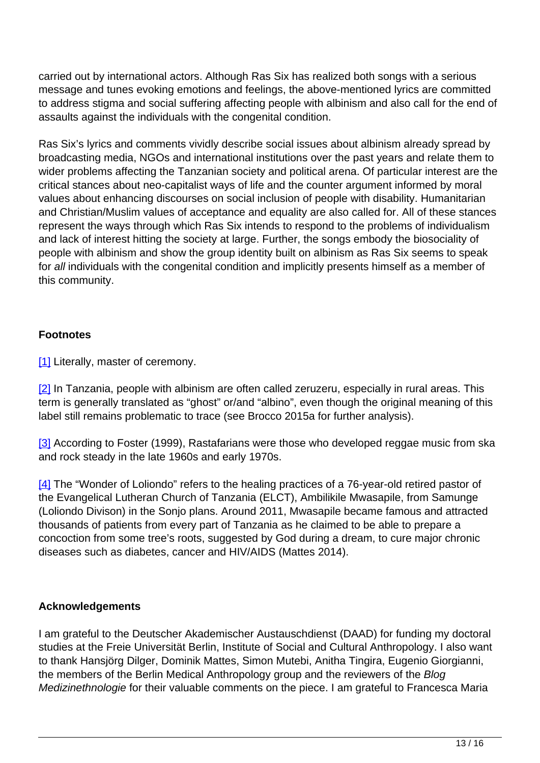carried out by international actors. Although Ras Six has realized both songs with a serious message and tunes evoking emotions and feelings, the above-mentioned lyrics are committed to address stigma and social suffering affecting people with albinism and also call for the end of assaults against the individuals with the congenital condition.

Ras Six's lyrics and comments vividly describe social issues about albinism already spread by broadcasting media, NGOs and international institutions over the past years and relate them to wider problems affecting the Tanzanian society and political arena. Of particular interest are the critical stances about neo-capitalist ways of life and the counter argument informed by moral values about enhancing discourses on social inclusion of people with disability. Humanitarian and Christian/Muslim values of acceptance and equality are also called for. All of these stances represent the ways through which Ras Six intends to respond to the problems of individualism and lack of interest hitting the society at large. Further, the songs embody the biosociality of people with albinism and show the group identity built on albinism as Ras Six seems to speak for all individuals with the congenital condition and implicitly presents himself as a member of this community.

# **Footnotes**

[1] Literally, master of ceremony.

[2] In Tanzania, people with albinism are often called zeruzeru, especially in rural areas. This term is generally translated as "ghost" or/and "albino", even though the original meaning of this label still remains problematic to trace (see Brocco 2015a for further analysis).

[3] According to Foster (1999), Rastafarians were those who developed reggae music from ska and rock steady in the late 1960s and early 1970s.

[4] The "Wonder of Loliondo" refers to the healing practices of a 76-year-old retired pastor of the Evangelical Lutheran Church of Tanzania (ELCT), Ambilikile Mwasapile, from Samunge (Loliondo Divison) in the Sonjo plans. Around 2011, Mwasapile became famous and attracted thousands of patients from every part of Tanzania as he claimed to be able to prepare a concoction from some tree's roots, suggested by God during a dream, to cure major chronic diseases such as diabetes, cancer and HIV/AIDS (Mattes 2014).

#### **Acknowledgements**

I am grateful to the Deutscher Akademischer Austauschdienst (DAAD) for funding my doctoral studies at the Freie Universität Berlin, Institute of Social and Cultural Anthropology. I also want to thank Hansjörg Dilger, Dominik Mattes, Simon Mutebi, Anitha Tingira, Eugenio Giorgianni, the members of the Berlin Medical Anthropology group and the reviewers of the Blog Medizinethnologie for their valuable comments on the piece. I am grateful to Francesca Maria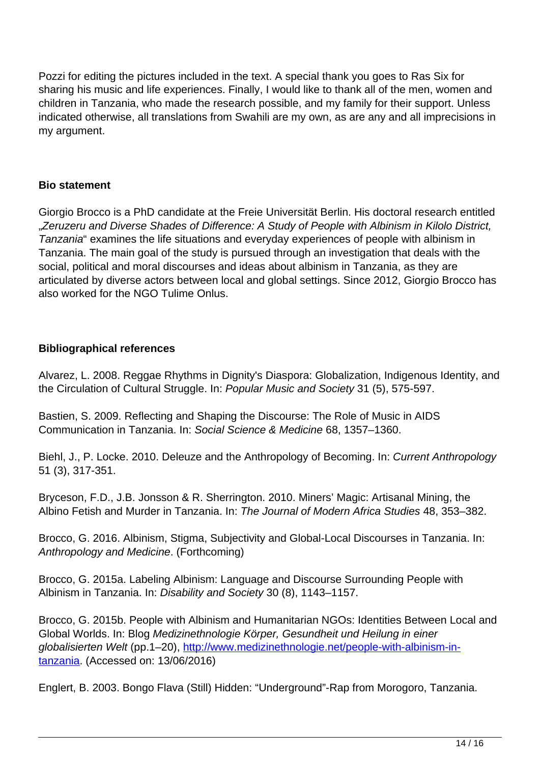Pozzi for editing the pictures included in the text. A special thank you goes to Ras Six for sharing his music and life experiences. Finally, I would like to thank all of the men, women and children in Tanzania, who made the research possible, and my family for their support. Unless indicated otherwise, all translations from Swahili are my own, as are any and all imprecisions in my argument.

# **Bio statement**

Giorgio Brocco is a PhD candidate at the Freie Universität Berlin. His doctoral research entitled ..Zeruzeru and Diverse Shades of Difference: A Study of People with Albinism in Kilolo District, Tanzania" examines the life situations and everyday experiences of people with albinism in Tanzania. The main goal of the study is pursued through an investigation that deals with the social, political and moral discourses and ideas about albinism in Tanzania, as they are articulated by diverse actors between local and global settings. Since 2012, Giorgio Brocco has also worked for the NGO Tulime Onlus.

# **Bibliographical references**

Alvarez, L. 2008. Reggae Rhythms in Dignity's Diaspora: Globalization, Indigenous Identity, and the Circulation of Cultural Struggle. In: Popular Music and Society 31 (5), 575-597.

Bastien, S. 2009. Reflecting and Shaping the Discourse: The Role of Music in AIDS Communication in Tanzania. In: Social Science & Medicine 68, 1357–1360.

Biehl, J., P. Locke. 2010. Deleuze and the Anthropology of Becoming. In: Current Anthropology 51 (3), 317-351.

Bryceson, F.D., J.B. Jonsson & R. Sherrington. 2010. Miners' Magic: Artisanal Mining, the Albino Fetish and Murder in Tanzania. In: The Journal of Modern Africa Studies 48, 353–382.

Brocco, G. 2016. Albinism, Stigma, Subjectivity and Global-Local Discourses in Tanzania. In: Anthropology and Medicine. (Forthcoming)

Brocco, G. 2015a. Labeling Albinism: Language and Discourse Surrounding People with Albinism in Tanzania. In: Disability and Society 30 (8), 1143–1157.

Brocco, G. 2015b. People with Albinism and Humanitarian NGOs: Identities Between Local and Global Worlds. In: Blog Medizinethnologie Körper, Gesundheit und Heilung in einer globalisierten Welt (pp.1–20), [http://www.medizinethnologie.net/people-with-albinism-in](http://www.medizinethnologie.net/people-with-albinism-in-tanzania/)[tanzania.](http://www.medizinethnologie.net/people-with-albinism-in-tanzania/) (Accessed on: 13/06/2016)

Englert, B. 2003. Bongo Flava (Still) Hidden: "Underground"-Rap from Morogoro, Tanzania.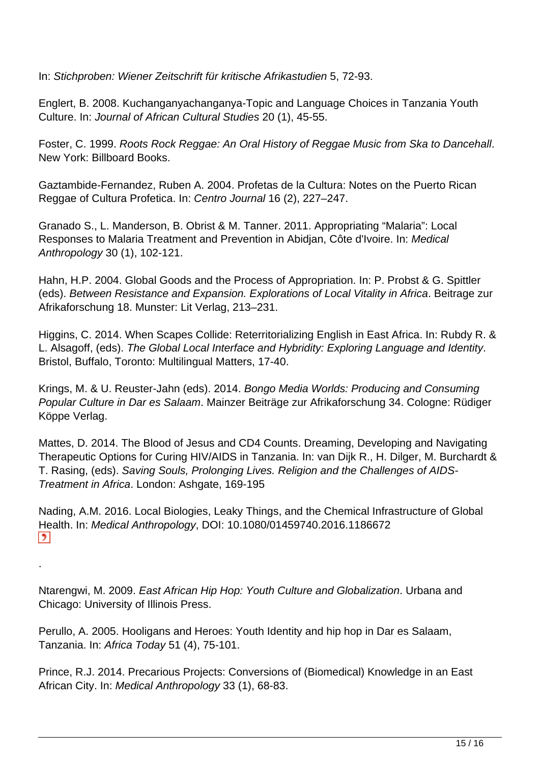In: Stichproben: Wiener Zeitschrift für kritische Afrikastudien 5, 72-93.

Englert, B. 2008. Kuchanganyachanganya-Topic and Language Choices in Tanzania Youth Culture. In: Journal of African Cultural Studies 20 (1), 45-55.

Foster, C. 1999. Roots Rock Reggae: An Oral History of Reggae Music from Ska to Dancehall. New York: Billboard Books.

Gaztambide-Fernandez, Ruben A. 2004. Profetas de la Cultura: Notes on the Puerto Rican Reggae of Cultura Profetica. In: Centro Journal 16 (2), 227–247.

Granado S., L. Manderson, B. Obrist & M. Tanner. 2011. Appropriating "Malaria": Local Responses to Malaria Treatment and Prevention in Abidjan, Côte d'Ivoire. In: Medical Anthropology 30 (1), 102-121.

Hahn, H.P. 2004. Global Goods and the Process of Appropriation. In: P. Probst & G. Spittler (eds). Between Resistance and Expansion. Explorations of Local Vitality in Africa. Beitrage zur Afrikaforschung 18. Munster: Lit Verlag, 213–231.

Higgins, C. 2014. When Scapes Collide: Reterritorializing English in East Africa. In: Rubdy R. & L. Alsagoff, (eds). The Global Local Interface and Hybridity: Exploring Language and Identity. Bristol, Buffalo, Toronto: Multilingual Matters, 17-40.

Krings, M. & U. Reuster-Jahn (eds). 2014. Bongo Media Worlds: Producing and Consuming Popular Culture in Dar es Salaam. Mainzer Beiträge zur Afrikaforschung 34. Cologne: Rüdiger Köppe Verlag.

Mattes, D. 2014. The Blood of Jesus and CD4 Counts. Dreaming, Developing and Navigating Therapeutic Options for Curing HIV/AIDS in Tanzania. In: van Dijk R., H. Dilger, M. Burchardt & T. Rasing, (eds). Saving Souls, Prolonging Lives. Religion and the Challenges of AIDS-Treatment in Africa. London: Ashgate, 169-195

Nading, A.M. 2016. Local Biologies, Leaky Things, and the Chemical Infrastructure of Global Health. In: Medical Anthropology, DOI: 10.1080/01459740.2016.1186672  $\vert$ 

Ntarengwi, M. 2009. East African Hip Hop: Youth Culture and Globalization. Urbana and Chicago: University of Illinois Press.

.

Perullo, A. 2005. Hooligans and Heroes: Youth Identity and hip hop in Dar es Salaam, Tanzania. In: Africa Today 51 (4), 75-101.

Prince, R.J. 2014. Precarious Projects: Conversions of (Biomedical) Knowledge in an East African City. In: Medical Anthropology 33 (1), 68-83.